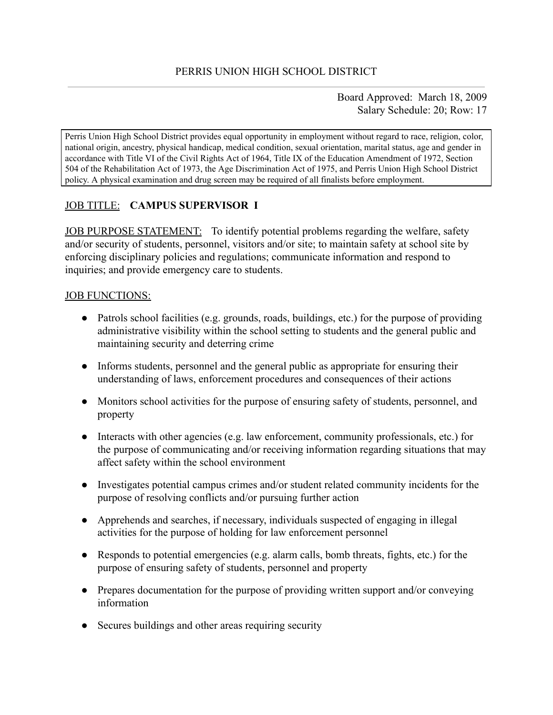Board Approved: March 18, 2009 Salary Schedule: 20; Row: 17

Perris Union High School District provides equal opportunity in employment without regard to race, religion, color, national origin, ancestry, physical handicap, medical condition, sexual orientation, marital status, age and gender in accordance with Title VI of the Civil Rights Act of 1964, Title IX of the Education Amendment of 1972, Section 504 of the Rehabilitation Act of 1973, the Age Discrimination Act of 1975, and Perris Union High School District policy. A physical examination and drug screen may be required of all finalists before employment.

# JOB TITLE: **CAMPUS SUPERVISOR I**

JOB PURPOSE STATEMENT: To identify potential problems regarding the welfare, safety and/or security of students, personnel, visitors and/or site; to maintain safety at school site by enforcing disciplinary policies and regulations; communicate information and respond to inquiries; and provide emergency care to students.

#### JOB FUNCTIONS:

- Patrols school facilities (e.g. grounds, roads, buildings, etc.) for the purpose of providing administrative visibility within the school setting to students and the general public and maintaining security and deterring crime
- Informs students, personnel and the general public as appropriate for ensuring their understanding of laws, enforcement procedures and consequences of their actions
- Monitors school activities for the purpose of ensuring safety of students, personnel, and property
- Interacts with other agencies (e.g. law enforcement, community professionals, etc.) for the purpose of communicating and/or receiving information regarding situations that may affect safety within the school environment
- Investigates potential campus crimes and/or student related community incidents for the purpose of resolving conflicts and/or pursuing further action
- Apprehends and searches, if necessary, individuals suspected of engaging in illegal activities for the purpose of holding for law enforcement personnel
- Responds to potential emergencies (e.g. alarm calls, bomb threats, fights, etc.) for the purpose of ensuring safety of students, personnel and property
- Prepares documentation for the purpose of providing written support and/or conveying information
- Secures buildings and other areas requiring security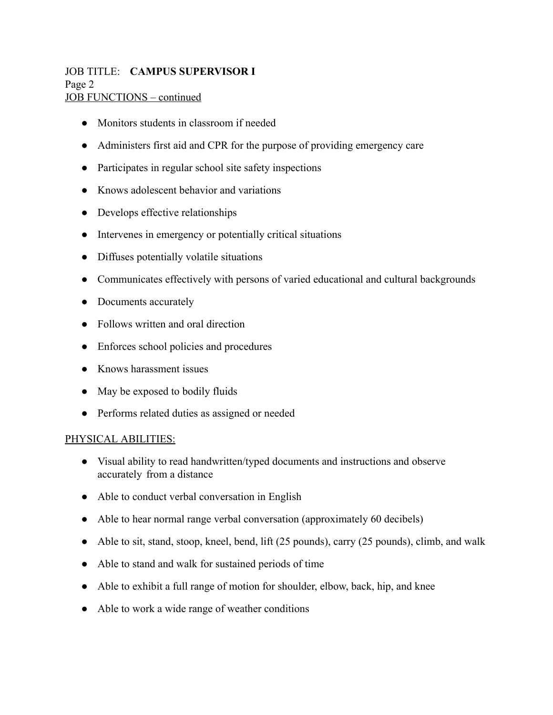### JOB TITLE: **CAMPUS SUPERVISOR I** Page 2 JOB FUNCTIONS – continued

- Monitors students in classroom if needed
- Administers first aid and CPR for the purpose of providing emergency care
- Participates in regular school site safety inspections
- Knows adolescent behavior and variations
- Develops effective relationships
- Intervenes in emergency or potentially critical situations
- Diffuses potentially volatile situations
- Communicates effectively with persons of varied educational and cultural backgrounds
- Documents accurately
- Follows written and oral direction
- Enforces school policies and procedures
- Knows harassment issues
- May be exposed to bodily fluids
- Performs related duties as assigned or needed

#### PHYSICAL ABILITIES:

- Visual ability to read handwritten/typed documents and instructions and observe accurately from a distance
- Able to conduct verbal conversation in English
- Able to hear normal range verbal conversation (approximately 60 decibels)
- Able to sit, stand, stoop, kneel, bend, lift (25 pounds), carry (25 pounds), climb, and walk
- Able to stand and walk for sustained periods of time
- Able to exhibit a full range of motion for shoulder, elbow, back, hip, and knee
- Able to work a wide range of weather conditions